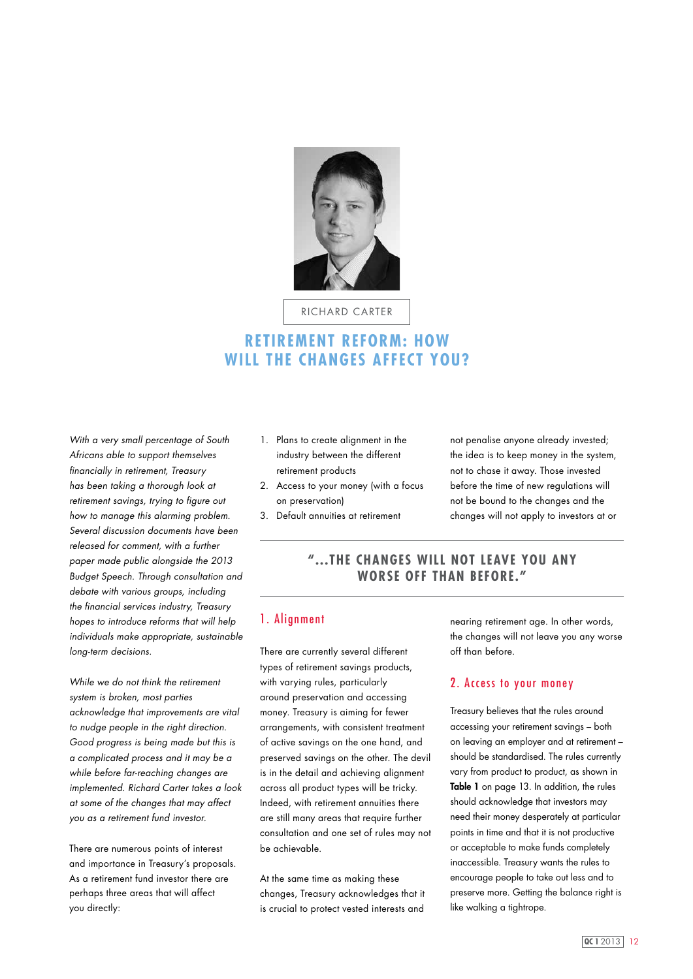

richard carter

# **RETIREMENT REFORM: HOW WILL THE CHANGES AFFECT YOU?**

*With a very small percentage of South Africans able to support themselves financially in retirement, Treasury has been taking a thorough look at retirement savings, trying to figure out how to manage this alarming problem. Several discussion documents have been released for comment, with a further paper made public alongside the 2013 Budget Speech. Through consultation and debate with various groups, including the financial services industry, Treasury hopes to introduce reforms that will help individuals make appropriate, sustainable long-term decisions.*

*While we do not think the retirement system is broken, most parties acknowledge that improvements are vital to nudge people in the right direction. Good progress is being made but this is a complicated process and it may be a while before far-reaching changes are implemented. Richard Carter takes a look at some of the changes that may affect you as a retirement fund investor.*

There are numerous points of interest and importance in Treasury's proposals. As a retirement fund investor there are perhaps three areas that will affect you directly:

- 1. Plans to create alignment in the industry between the different retirement products
- 2. Access to your money (with a focus on preservation)
- 3. Default annuities at retirement

not penalise anyone already invested; the idea is to keep money in the system, not to chase it away. Those invested before the time of new regulations will not be bound to the changes and the changes will not apply to investors at or

## **"...The changes will not leave you any worse off than before."**

### 1. Alignment

There are currently several different types of retirement savings products, with varying rules, particularly around preservation and accessing money. Treasury is aiming for fewer arrangements, with consistent treatment of active savings on the one hand, and preserved savings on the other. The devil is in the detail and achieving alignment across all product types will be tricky. Indeed, with retirement annuities there are still many areas that require further consultation and one set of rules may not be achievable.

At the same time as making these changes, Treasury acknowledges that it is crucial to protect vested interests and

nearing retirement age. In other words, the changes will not leave you any worse off than before.

#### 2. Access to your money

Treasury believes that the rules around accessing your retirement savings – both on leaving an employer and at retirement – should be standardised. The rules currently vary from product to product, as shown in Table 1 on page 13. In addition, the rules should acknowledge that investors may need their money desperately at particular points in time and that it is not productive or acceptable to make funds completely inaccessible. Treasury wants the rules to encourage people to take out less and to preserve more. Getting the balance right is like walking a tightrope.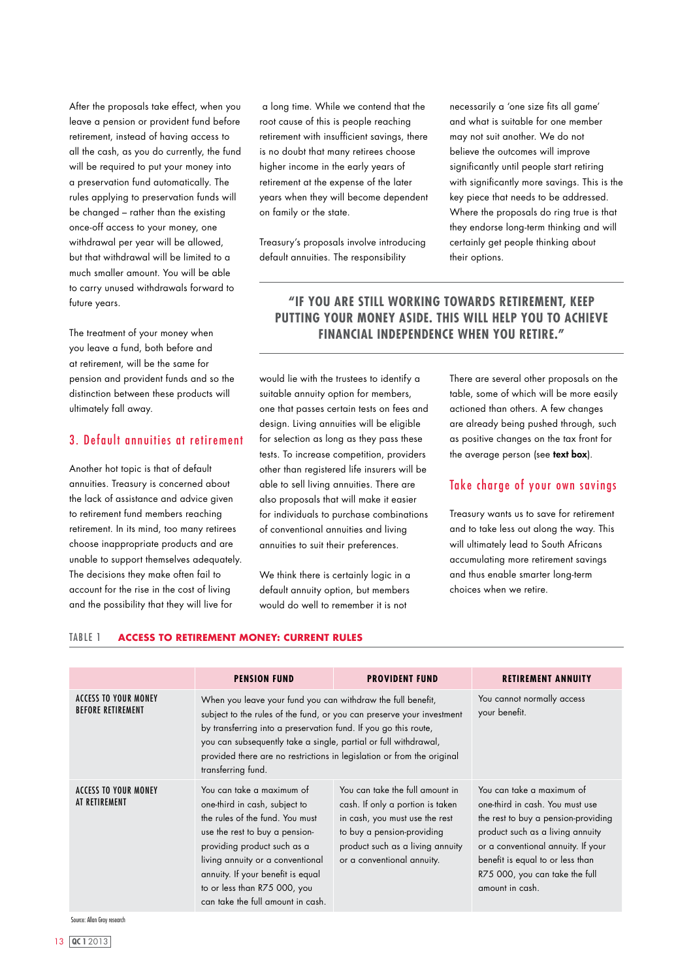After the proposals take effect, when you leave a pension or provident fund before retirement, instead of having access to all the cash, as you do currently, the fund will be required to put your money into a preservation fund automatically. The rules applying to preservation funds will be changed – rather than the existing once-off access to your money, one withdrawal per year will be allowed, but that withdrawal will be limited to a much smaller amount. You will be able to carry unused withdrawals forward to future years.

The treatment of your money when you leave a fund, both before and at retirement, will be the same for pension and provident funds and so the distinction between these products will ultimately fall away.

### 3. Default annuities at retirement

Another hot topic is that of default annuities. Treasury is concerned about the lack of assistance and advice given to retirement fund members reaching retirement. In its mind, too many retirees choose inappropriate products and are unable to support themselves adequately. The decisions they make often fail to account for the rise in the cost of living and the possibility that they will live for

 a long time. While we contend that the root cause of this is people reaching retirement with insufficient savings, there is no doubt that many retirees choose higher income in the early years of retirement at the expense of the later years when they will become dependent on family or the state.

Treasury's proposals involve introducing default annuities. The responsibility

necessarily a 'one size fits all game' and what is suitable for one member may not suit another. We do not believe the outcomes will improve significantly until people start retiring with significantly more savings. This is the key piece that needs to be addressed. Where the proposals do ring true is that they endorse long-term thinking and will certainly get people thinking about their options.

# **"if you are still working towards retirement, keep putting YOUR money aside. THIS will help you to ACHIEVE FINANCIAL INDEPENDENCE WHEN YOU RETIRE."**

would lie with the trustees to identify a suitable annuity option for members, one that passes certain tests on fees and design. Living annuities will be eligible for selection as long as they pass these tests. To increase competition, providers other than registered life insurers will be able to sell living annuities. There are also proposals that will make it easier for individuals to purchase combinations of conventional annuities and living annuities to suit their preferences.

We think there is certainly logic in a default annuity option, but members would do well to remember it is not

There are several other proposals on the table, some of which will be more easily actioned than others. A few changes are already being pushed through, such as positive changes on the tax front for the average person (see text box).

#### Take charge of your own savings

Treasury wants us to save for retirement and to take less out along the way. This will ultimately lead to South Africans accumulating more retirement savings and thus enable smarter long-term choices when we retire.

#### Table 1 **access to retirement money: current rules**

|                                                         | <b>PENSION FUND</b>                                                                                                                                                                                                                                                                                                                                                        | <b>PROVIDENT FUND</b>                                                                                                                                                                                 | <b>RETIREMENT ANNUITY</b>                                                                                                                                                                                                                                              |
|---------------------------------------------------------|----------------------------------------------------------------------------------------------------------------------------------------------------------------------------------------------------------------------------------------------------------------------------------------------------------------------------------------------------------------------------|-------------------------------------------------------------------------------------------------------------------------------------------------------------------------------------------------------|------------------------------------------------------------------------------------------------------------------------------------------------------------------------------------------------------------------------------------------------------------------------|
| <b>ACCESS TO YOUR MONEY</b><br><b>BEFORE RETIREMENT</b> | When you leave your fund you can withdraw the full benefit,<br>subject to the rules of the fund, or you can preserve your investment<br>by transferring into a preservation fund. If you go this route,<br>you can subsequently take a single, partial or full withdrawal,<br>provided there are no restrictions in legislation or from the original<br>transferring fund. |                                                                                                                                                                                                       | You cannot normally access<br>your benefit.                                                                                                                                                                                                                            |
| <b>ACCESS TO YOUR MONEY</b><br>AT RETIREMENT            | You can take a maximum of<br>one-third in cash, subject to<br>the rules of the fund. You must<br>use the rest to buy a pension-<br>providing product such as a<br>living annuity or a conventional<br>annuity. If your benefit is equal<br>to or less than R75 000, you<br>can take the full amount in cash.                                                               | You can take the full amount in<br>cash. If only a portion is taken<br>in cash, you must use the rest<br>to buy a pension-providing<br>product such as a living annuity<br>or a conventional annuity. | You can take a maximum of<br>one-third in cash. You must use<br>the rest to buy a pension-providing<br>product such as a living annuity<br>or a conventional annuity. If your<br>benefit is equal to or less than<br>R75 000, you can take the full<br>amount in cash. |

Source: Allan Gray research